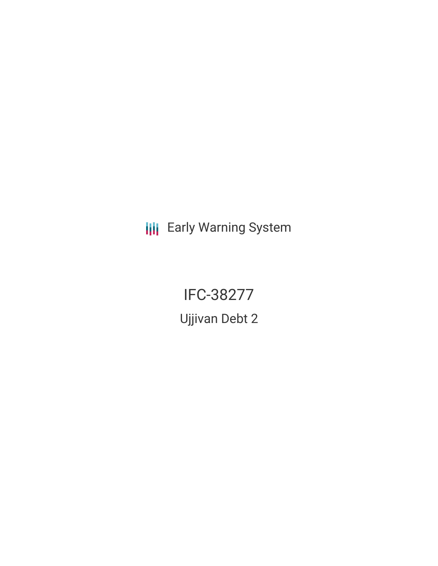**III** Early Warning System

IFC-38277 Ujjivan Debt 2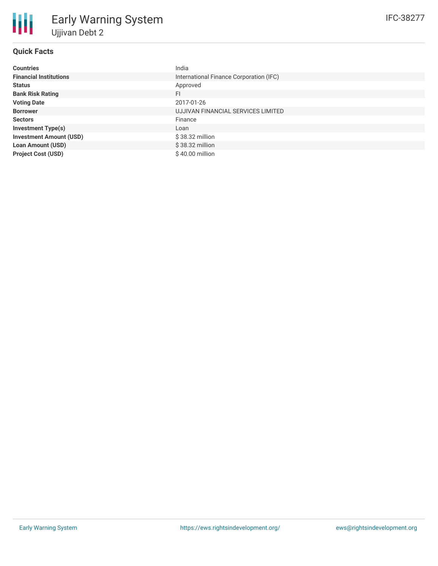| <b>Countries</b>               | India                                   |
|--------------------------------|-----------------------------------------|
| <b>Financial Institutions</b>  | International Finance Corporation (IFC) |
| <b>Status</b>                  | Approved                                |
| <b>Bank Risk Rating</b>        | FI                                      |
| <b>Voting Date</b>             | 2017-01-26                              |
| <b>Borrower</b>                | UJJIVAN FINANCIAL SERVICES LIMITED      |
| <b>Sectors</b>                 | Finance                                 |
| <b>Investment Type(s)</b>      | Loan                                    |
| <b>Investment Amount (USD)</b> | $$38.32$ million                        |
| <b>Loan Amount (USD)</b>       | $$38.32$ million                        |
| <b>Project Cost (USD)</b>      | \$40.00 million                         |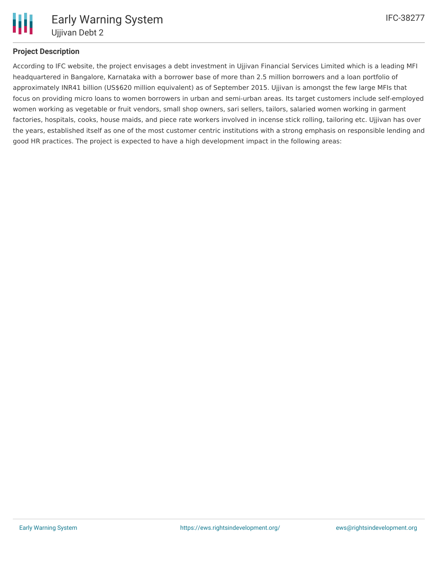

# **Project Description**

According to IFC website, the project envisages a debt investment in Ujjivan Financial Services Limited which is a leading MFI headquartered in Bangalore, Karnataka with a borrower base of more than 2.5 million borrowers and a loan portfolio of approximately INR41 billion (US\$620 million equivalent) as of September 2015. Ujjivan is amongst the few large MFIs that focus on providing micro loans to women borrowers in urban and semi-urban areas. Its target customers include self-employed women working as vegetable or fruit vendors, small shop owners, sari sellers, tailors, salaried women working in garment factories, hospitals, cooks, house maids, and piece rate workers involved in incense stick rolling, tailoring etc. Ujjivan has over the years, established itself as one of the most customer centric institutions with a strong emphasis on responsible lending and good HR practices. The project is expected to have a high development impact in the following areas: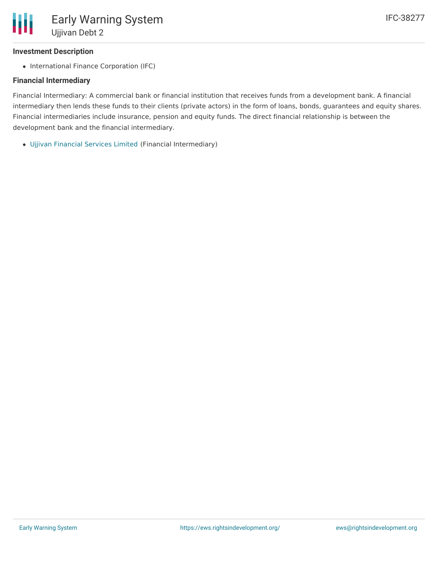# **Investment Description**

• International Finance Corporation (IFC)

# **Financial Intermediary**

Financial Intermediary: A commercial bank or financial institution that receives funds from a development bank. A financial intermediary then lends these funds to their clients (private actors) in the form of loans, bonds, guarantees and equity shares. Financial intermediaries include insurance, pension and equity funds. The direct financial relationship is between the development bank and the financial intermediary.

Ujjivan [Financial](file:///actor/879/) Services Limited (Financial Intermediary)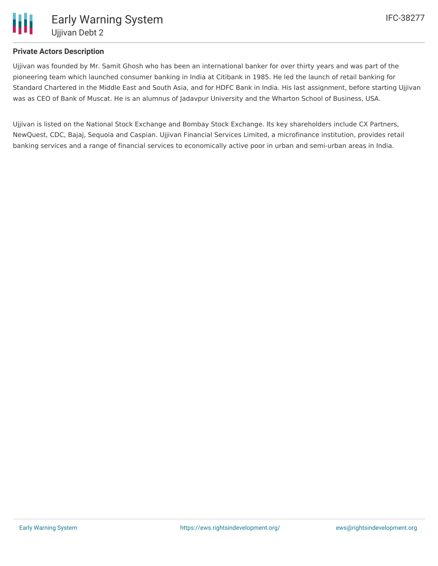

### **Private Actors Description**

Ujjivan was founded by Mr. Samit Ghosh who has been an international banker for over thirty years and was part of the pioneering team which launched consumer banking in India at Citibank in 1985. He led the launch of retail banking for Standard Chartered in the Middle East and South Asia, and for HDFC Bank in India. His last assignment, before starting Ujjivan was as CEO of Bank of Muscat. He is an alumnus of Jadavpur University and the Wharton School of Business, USA.

Ujjivan is listed on the National Stock Exchange and Bombay Stock Exchange. Its key shareholders include CX Partners, NewQuest, CDC, Bajaj, Sequoia and Caspian. Ujjivan Financial Services Limited, a microfinance institution, provides retail banking services and a range of financial services to economically active poor in urban and semi-urban areas in India.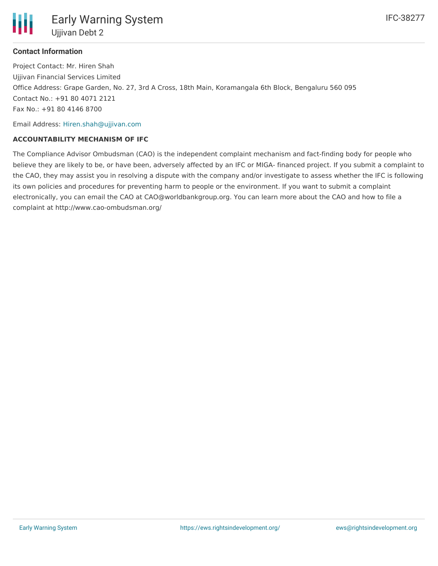

Project Contact: Mr. Hiren Shah Ujjivan Financial Services Limited Office Address: Grape Garden, No. 27, 3rd A Cross, 18th Main, Koramangala 6th Block, Bengaluru 560 095 Contact No.: +91 80 4071 2121 Fax No.: +91 80 4146 8700

Email Address: [Hiren.shah@ujjivan.com](mailto:Hiren.shah@ujjivan.com)

#### **ACCOUNTABILITY MECHANISM OF IFC**

The Compliance Advisor Ombudsman (CAO) is the independent complaint mechanism and fact-finding body for people who believe they are likely to be, or have been, adversely affected by an IFC or MIGA- financed project. If you submit a complaint to the CAO, they may assist you in resolving a dispute with the company and/or investigate to assess whether the IFC is following its own policies and procedures for preventing harm to people or the environment. If you want to submit a complaint electronically, you can email the CAO at CAO@worldbankgroup.org. You can learn more about the CAO and how to file a complaint at http://www.cao-ombudsman.org/